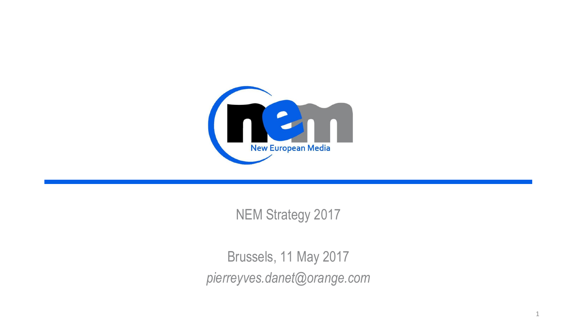

NEM Strategy 2017

Brussels, 11 May 2017 *pierreyves.danet@orange.com*

1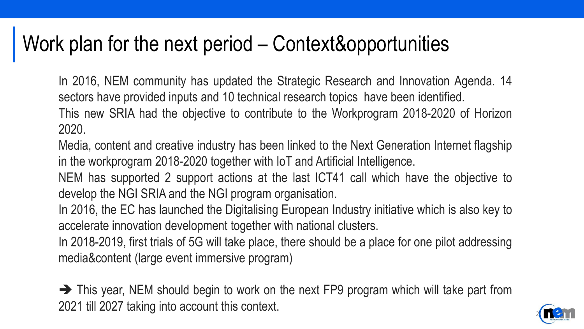## Work plan for the next period – Context&opportunities

In 2016, NEM community has updated the Strategic Research and Innovation Agenda. 14 sectors have provided inputs and 10 technical research topics have been identified. This new SRIA had the objective to contribute to the Workprogram 2018-2020 of Horizon 2020.

Media, content and creative industry has been linked to the Next Generation Internet flagship in the workprogram 2018-2020 together with IoT and Artificial Intelligence.

NEM has supported 2 support actions at the last ICT41 call which have the objective to develop the NGI SRIA and the NGI program organisation.

In 2016, the EC has launched the Digitalising European Industry initiative which is also key to accelerate innovation development together with national clusters.

In 2018-2019, first trials of 5G will take place, there should be a place for one pilot addressing media&content (large event immersive program)

 $\rightarrow$  This year, NEM should begin to work on the next FP9 program which will take part from 2021 till 2027 taking into account this context.

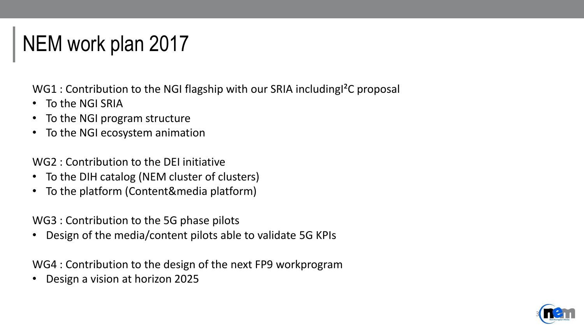# NEM work plan 2017

WG1 : Contribution to the NGI flagship with our SRIA including<sup>2</sup>C proposal

- To the NGI SRIA
- To the NGI program structure
- To the NGI ecosystem animation

WG2 : Contribution to the DEI initiative

- To the DIH catalog (NEM cluster of clusters)
- To the platform (Content&media platform)

WG3 : Contribution to the 5G phase pilots

• Design of the media/content pilots able to validate 5G KPIs

WG4 : Contribution to the design of the next FP9 workprogram

• Design a vision at horizon 2025

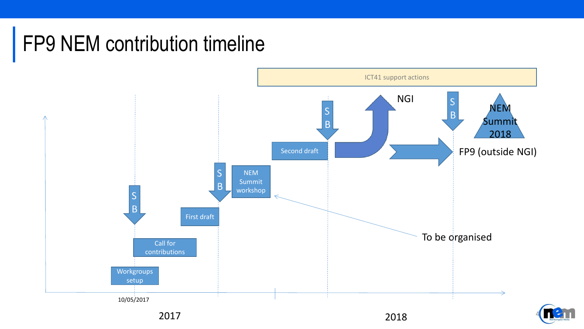# FP9 NEM contribution timeline



**2017**  $\frac{4}{4}$